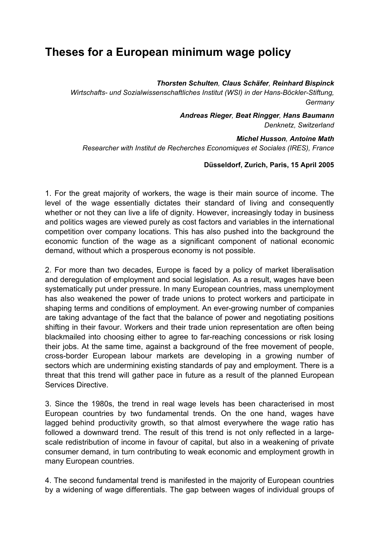## **Theses for a European minimum wage policy**

*Thorsten Schulten, Claus Schäfer, Reinhard Bispinck*

*Wirtschafts- und Sozialwissenschaftliches Institut (WSI) in der Hans-Böckler-Stiftung, Germany*

> *Andreas Rieger, Beat Ringger, Hans Baumann Denknetz, Switzerland*

*Michel Husson, Antoine Math Researcher with Institut de Recherches Economiques et Sociales (IRES), France* 

## **Düsseldorf, Zurich, Paris, 15 April 2005**

1. For the great majority of workers, the wage is their main source of income. The level of the wage essentially dictates their standard of living and consequently whether or not they can live a life of dignity. However, increasingly today in business and politics wages are viewed purely as cost factors and variables in the international competition over company locations. This has also pushed into the background the economic function of the wage as a significant component of national economic demand, without which a prosperous economy is not possible.

2. For more than two decades, Europe is faced by a policy of market liberalisation and deregulation of employment and social legislation. As a result, wages have been systematically put under pressure. In many European countries, mass unemployment has also weakened the power of trade unions to protect workers and participate in shaping terms and conditions of employment. An ever-growing number of companies are taking advantage of the fact that the balance of power and negotiating positions shifting in their favour. Workers and their trade union representation are often being blackmailed into choosing either to agree to far-reaching concessions or risk losing their jobs. At the same time, against a background of the free movement of people, cross-border European labour markets are developing in a growing number of sectors which are undermining existing standards of pay and employment. There is a threat that this trend will gather pace in future as a result of the planned European Services Directive.

3. Since the 1980s, the trend in real wage levels has been characterised in most European countries by two fundamental trends. On the one hand, wages have lagged behind productivity growth, so that almost everywhere the wage ratio has followed a downward trend. The result of this trend is not only reflected in a largescale redistribution of income in favour of capital, but also in a weakening of private consumer demand, in turn contributing to weak economic and employment growth in many European countries.

4. The second fundamental trend is manifested in the majority of European countries by a widening of wage differentials. The gap between wages of individual groups of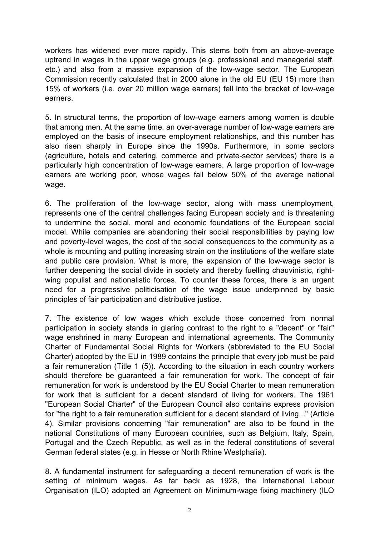workers has widened ever more rapidly. This stems both from an above-average uptrend in wages in the upper wage groups (e.g. professional and managerial staff, etc.) and also from a massive expansion of the low-wage sector. The European Commission recently calculated that in 2000 alone in the old EU (EU 15) more than 15% of workers (i.e. over 20 million wage earners) fell into the bracket of low-wage earners.

5. In structural terms, the proportion of low-wage earners among women is double that among men. At the same time, an over-average number of low-wage earners are employed on the basis of insecure employment relationships, and this number has also risen sharply in Europe since the 1990s. Furthermore, in some sectors (agriculture, hotels and catering, commerce and private-sector services) there is a particularly high concentration of low-wage earners. A large proportion of low-wage earners are working poor, whose wages fall below 50% of the average national wage.

6. The proliferation of the low-wage sector, along with mass unemployment, represents one of the central challenges facing European society and is threatening to undermine the social, moral and economic foundations of the European social model. While companies are abandoning their social responsibilities by paying low and poverty-level wages, the cost of the social consequences to the community as a whole is mounting and putting increasing strain on the institutions of the welfare state and public care provision. What is more, the expansion of the low-wage sector is further deepening the social divide in society and thereby fuelling chauvinistic, rightwing populist and nationalistic forces. To counter these forces, there is an urgent need for a progressive politicisation of the wage issue underpinned by basic principles of fair participation and distributive justice.

7. The existence of low wages which exclude those concerned from normal participation in society stands in glaring contrast to the right to a "decent" or "fair" wage enshrined in many European and international agreements. The Community Charter of Fundamental Social Rights for Workers (abbreviated to the EU Social Charter) adopted by the EU in 1989 contains the principle that every job must be paid a fair remuneration (Title 1 (5)). According to the situation in each country workers should therefore be guaranteed a fair remuneration for work. The concept of fair remuneration for work is understood by the EU Social Charter to mean remuneration for work that is sufficient for a decent standard of living for workers. The 1961 "European Social Charter" of the European Council also contains express provision for "the right to a fair remuneration sufficient for a decent standard of living..." (Article 4). Similar provisions concerning "fair remuneration" are also to be found in the national Constitutions of many European countries, such as Belgium, Italy, Spain, Portugal and the Czech Republic, as well as in the federal constitutions of several German federal states (e.g. in Hesse or North Rhine Westphalia).

8. A fundamental instrument for safeguarding a decent remuneration of work is the setting of minimum wages. As far back as 1928, the International Labour Organisation (ILO) adopted an Agreement on Minimum-wage fixing machinery (ILO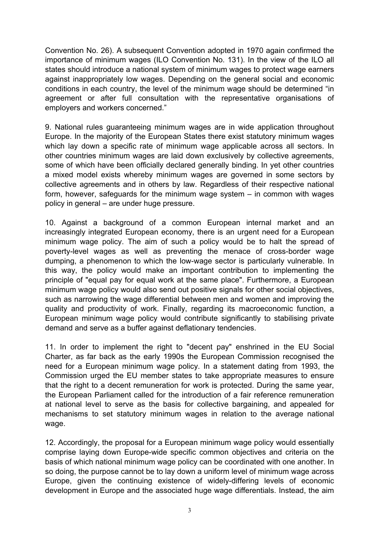Convention No. 26). A subsequent Convention adopted in 1970 again confirmed the importance of minimum wages (ILO Convention No. 131). In the view of the ILO all states should introduce a national system of minimum wages to protect wage earners against inappropriately low wages. Depending on the general social and economic conditions in each country, the level of the minimum wage should be determined "in agreement or after full consultation with the representative organisations of employers and workers concerned."

9. National rules guaranteeing minimum wages are in wide application throughout Europe. In the majority of the European States there exist statutory minimum wages which lay down a specific rate of minimum wage applicable across all sectors. In other countries minimum wages are laid down exclusively by collective agreements, some of which have been officially declared generally binding. In yet other countries a mixed model exists whereby minimum wages are governed in some sectors by collective agreements and in others by law. Regardless of their respective national form, however, safeguards for the minimum wage system – in common with wages policy in general – are under huge pressure.

10. Against a background of a common European internal market and an increasingly integrated European economy, there is an urgent need for a European minimum wage policy. The aim of such a policy would be to halt the spread of poverty-level wages as well as preventing the menace of cross-border wage dumping, a phenomenon to which the low-wage sector is particularly vulnerable. In this way, the policy would make an important contribution to implementing the principle of "equal pay for equal work at the same place". Furthermore, a European minimum wage policy would also send out positive signals for other social objectives, such as narrowing the wage differential between men and women and improving the quality and productivity of work. Finally, regarding its macroeconomic function, a European minimum wage policy would contribute significantly to stabilising private demand and serve as a buffer against deflationary tendencies.

11. In order to implement the right to "decent pay" enshrined in the EU Social Charter, as far back as the early 1990s the European Commission recognised the need for a European minimum wage policy. In a statement dating from 1993, the Commission urged the EU member states to take appropriate measures to ensure that the right to a decent remuneration for work is protected. During the same year, the European Parliament called for the introduction of a fair reference remuneration at national level to serve as the basis for collective bargaining, and appealed for mechanisms to set statutory minimum wages in relation to the average national wage.

12. Accordingly, the proposal for a European minimum wage policy would essentially comprise laying down Europe-wide specific common objectives and criteria on the basis of which national minimum wage policy can be coordinated with one another. In so doing, the purpose cannot be to lay down a uniform level of minimum wage across Europe, given the continuing existence of widely-differing levels of economic development in Europe and the associated huge wage differentials. Instead, the aim